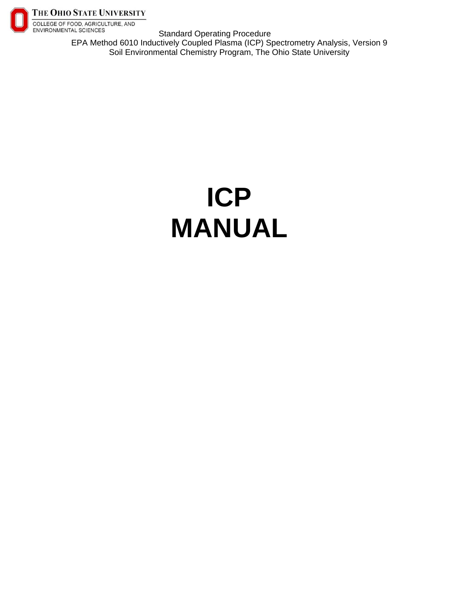

Standard Operating Procedure EPA Method 6010 Inductively Coupled Plasma (ICP) Spectrometry Analysis, Version 9 Soil Environmental Chemistry Program, The Ohio State University

# **ICP MANUAL**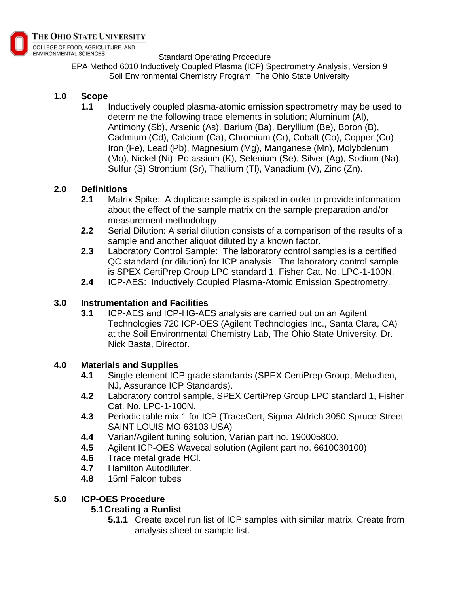

EPA Method 6010 Inductively Coupled Plasma (ICP) Spectrometry Analysis, Version 9 Soil Environmental Chemistry Program, The Ohio State University

#### **1.0 Scope**

**1.1** Inductively coupled plasma-atomic emission spectrometry may be used to determine the following trace elements in solution; Aluminum (Al), Antimony (Sb), Arsenic (As), Barium (Ba), Beryllium (Be), Boron (B), Cadmium (Cd), Calcium (Ca), Chromium (Cr), Cobalt (Co), Copper (Cu), Iron (Fe), Lead (Pb), Magnesium (Mg), Manganese (Mn), Molybdenum (Mo), Nickel (Ni), Potassium (K), Selenium (Se), Silver (Ag), Sodium (Na), Sulfur (S) Strontium (Sr), Thallium (Tl), Vanadium (V), Zinc (Zn).

#### **2.0 Definitions**

- **2.1** Matrix Spike: A duplicate sample is spiked in order to provide information about the effect of the sample matrix on the sample preparation and/or measurement methodology.
- **2.2** Serial Dilution: A serial dilution consists of a comparison of the results of a sample and another aliquot diluted by a known factor.
- **2.3** Laboratory Control Sample: The laboratory control samples is a certified QC standard (or dilution) for ICP analysis. The laboratory control sample is SPEX CertiPrep Group LPC standard 1, Fisher Cat. No. LPC-1-100N.
- **2.4** ICP-AES: Inductively Coupled Plasma-Atomic Emission Spectrometry.

## **3.0 Instrumentation and Facilities**

**3.1** ICP-AES and ICP-HG-AES analysis are carried out on an Agilent Technologies 720 ICP-OES (Agilent Technologies Inc., Santa Clara, CA) at the Soil Environmental Chemistry Lab, The Ohio State University, Dr. Nick Basta, Director.

#### **4.0 Materials and Supplies**

- **4.1** Single element ICP grade standards (SPEX CertiPrep Group, Metuchen, NJ, Assurance ICP Standards).
- **4.2** Laboratory control sample, SPEX CertiPrep Group LPC standard 1, Fisher Cat. No. LPC-1-100N.
- **4.3** Periodic table mix 1 for ICP (TraceCert, Sigma-Aldrich 3050 Spruce Street SAINT LOUIS MO 63103 USA)
- **4.4** Varian/Agilent tuning solution, Varian part no. 190005800.
- **4.5** Agilent ICP-OES Wavecal solution (Agilent part no. 6610030100)
- **4.6** Trace metal grade HCl.
- **4.7** Hamilton Autodiluter.
- **4.8** 15ml Falcon tubes

#### **5.0 ICP-OES Procedure**

## **5.1Creating a Runlist**

**5.1.1** Create excel run list of ICP samples with similar matrix. Create from analysis sheet or sample list.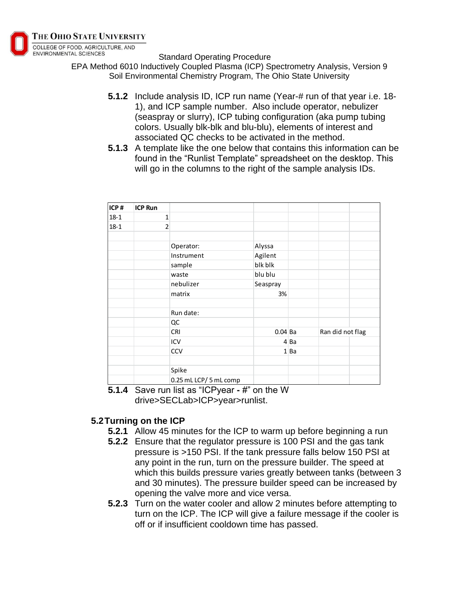

EPA Method 6010 Inductively Coupled Plasma (ICP) Spectrometry Analysis, Version 9 Soil Environmental Chemistry Program, The Ohio State University

- **5.1.2** Include analysis ID, ICP run name (Year-# run of that year i.e. 18- 1), and ICP sample number. Also include operator, nebulizer (seaspray or slurry), ICP tubing configuration (aka pump tubing colors. Usually blk-blk and blu-blu), elements of interest and associated QC checks to be activated in the method.
- **5.1.3** A template like the one below that contains this information can be found in the "Runlist Template" spreadsheet on the desktop. This will go in the columns to the right of the sample analysis IDs.

| ICP#     | <b>ICP Run</b> |                        |           |        |                  |
|----------|----------------|------------------------|-----------|--------|------------------|
| $18 - 1$ | 1              |                        |           |        |                  |
| $18 - 1$ | $\overline{2}$ |                        |           |        |                  |
|          |                |                        |           |        |                  |
|          |                | Operator:              | Alyssa    |        |                  |
|          |                | Instrument             | Agilent   |        |                  |
|          |                | sample                 | blk blk   |        |                  |
|          |                | waste                  | blu blu   |        |                  |
|          |                | nebulizer              | Seaspray  |        |                  |
|          |                | matrix                 | 3%        |        |                  |
|          |                |                        |           |        |                  |
|          |                | Run date:              |           |        |                  |
|          |                | QC                     |           |        |                  |
|          |                | <b>CRI</b>             | $0.04$ Ba |        | Ran did not flag |
|          |                | ICV                    |           | 4 Ba   |                  |
|          |                | <b>CCV</b>             |           | $1$ Ba |                  |
|          |                |                        |           |        |                  |
|          |                | Spike                  |           |        |                  |
|          |                | 0.25 mL LCP/ 5 mL comp |           |        |                  |

**5.1.4** Save run list as "ICPyear **-** #" on the W drive>SECLab>ICP>year>runlist.

## **5.2Turning on the ICP**

- **5.2.1** Allow 45 minutes for the ICP to warm up before beginning a run
- **5.2.2** Ensure that the regulator pressure is 100 PSI and the gas tank pressure is >150 PSI. If the tank pressure falls below 150 PSI at any point in the run, turn on the pressure builder. The speed at which this builds pressure varies greatly between tanks (between 3 and 30 minutes). The pressure builder speed can be increased by opening the valve more and vice versa.
- **5.2.3** Turn on the water cooler and allow 2 minutes before attempting to turn on the ICP. The ICP will give a failure message if the cooler is off or if insufficient cooldown time has passed.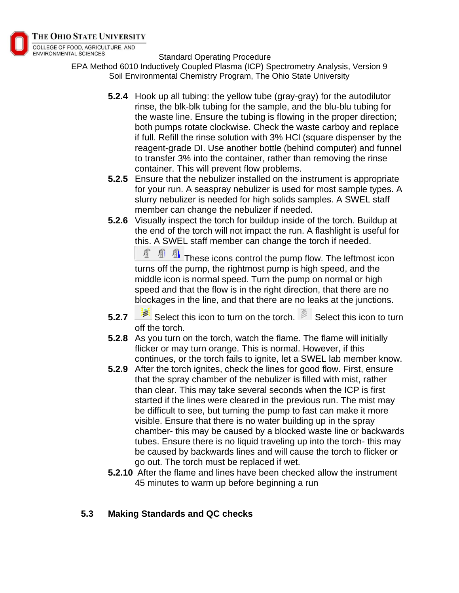

EPA Method 6010 Inductively Coupled Plasma (ICP) Spectrometry Analysis, Version 9 Soil Environmental Chemistry Program, The Ohio State University

- **5.2.4** Hook up all tubing: the yellow tube (gray-gray) for the autodilutor rinse, the blk-blk tubing for the sample, and the blu-blu tubing for the waste line. Ensure the tubing is flowing in the proper direction; both pumps rotate clockwise. Check the waste carboy and replace if full. Refill the rinse solution with 3% HCl (square dispenser by the reagent-grade DI. Use another bottle (behind computer) and funnel to transfer 3% into the container, rather than removing the rinse container. This will prevent flow problems.
- **5.2.5** Ensure that the nebulizer installed on the instrument is appropriate for your run. A seaspray nebulizer is used for most sample types. A slurry nebulizer is needed for high solids samples. A SWEL staff member can change the nebulizer if needed.
- **5.2.6** Visually inspect the torch for buildup inside of the torch. Buildup at the end of the torch will not impact the run. A flashlight is useful for this. A SWEL staff member can change the torch if needed.

- 90 - 90 -痒 These icons control the pump flow. The leftmost icon turns off the pump, the rightmost pump is high speed, and the middle icon is normal speed. Turn the pump on normal or high speed and that the flow is in the right direction, that there are no blockages in the line, and that there are no leaks at the junctions.

- **5.2.7** Select this icon to turn on the torch. **Select this icon to turn** off the torch.
- **5.2.8** As you turn on the torch, watch the flame. The flame will initially flicker or may turn orange. This is normal. However, if this continues, or the torch fails to ignite, let a SWEL lab member know.
- **5.2.9** After the torch ignites, check the lines for good flow. First, ensure that the spray chamber of the nebulizer is filled with mist, rather than clear. This may take several seconds when the ICP is first started if the lines were cleared in the previous run. The mist may be difficult to see, but turning the pump to fast can make it more visible. Ensure that there is no water building up in the spray chamber- this may be caused by a blocked waste line or backwards tubes. Ensure there is no liquid traveling up into the torch- this may be caused by backwards lines and will cause the torch to flicker or go out. The torch must be replaced if wet.
- **5.2.10** After the flame and lines have been checked allow the instrument 45 minutes to warm up before beginning a run

## **5.3 Making Standards and QC checks**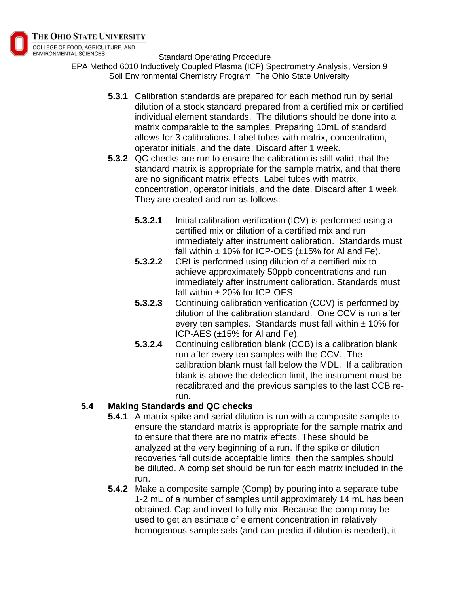

EPA Method 6010 Inductively Coupled Plasma (ICP) Spectrometry Analysis, Version 9 Soil Environmental Chemistry Program, The Ohio State University

- **5.3.1** Calibration standards are prepared for each method run by serial dilution of a stock standard prepared from a certified mix or certified individual element standards. The dilutions should be done into a matrix comparable to the samples. Preparing 10mL of standard allows for 3 calibrations. Label tubes with matrix, concentration, operator initials, and the date. Discard after 1 week.
- **5.3.2** QC checks are run to ensure the calibration is still valid, that the standard matrix is appropriate for the sample matrix, and that there are no significant matrix effects. Label tubes with matrix, concentration, operator initials, and the date. Discard after 1 week. They are created and run as follows:
	- **5.3.2.1** Initial calibration verification (ICV) is performed using a certified mix or dilution of a certified mix and run immediately after instrument calibration. Standards must fall within  $\pm$  10% for ICP-OES ( $\pm$ 15% for AI and Fe).
	- **5.3.2.2** CRI is performed using dilution of a certified mix to achieve approximately 50ppb concentrations and run immediately after instrument calibration. Standards must fall within  $\pm$  20% for ICP-OES
	- **5.3.2.3** Continuing calibration verification (CCV) is performed by dilution of the calibration standard. One CCV is run after every ten samples. Standards must fall within  $\pm$  10% for ICP-AES (±15% for Al and Fe).
	- **5.3.2.4** Continuing calibration blank (CCB) is a calibration blank run after every ten samples with the CCV. The calibration blank must fall below the MDL. If a calibration blank is above the detection limit, the instrument must be recalibrated and the previous samples to the last CCB rerun.

## **5.4 Making Standards and QC checks**

- **5.4.1** A matrix spike and serial dilution is run with a composite sample to ensure the standard matrix is appropriate for the sample matrix and to ensure that there are no matrix effects. These should be analyzed at the very beginning of a run. If the spike or dilution recoveries fall outside acceptable limits, then the samples should be diluted. A comp set should be run for each matrix included in the run.
- **5.4.2** Make a composite sample (Comp) by pouring into a separate tube 1-2 mL of a number of samples until approximately 14 mL has been obtained. Cap and invert to fully mix. Because the comp may be used to get an estimate of element concentration in relatively homogenous sample sets (and can predict if dilution is needed), it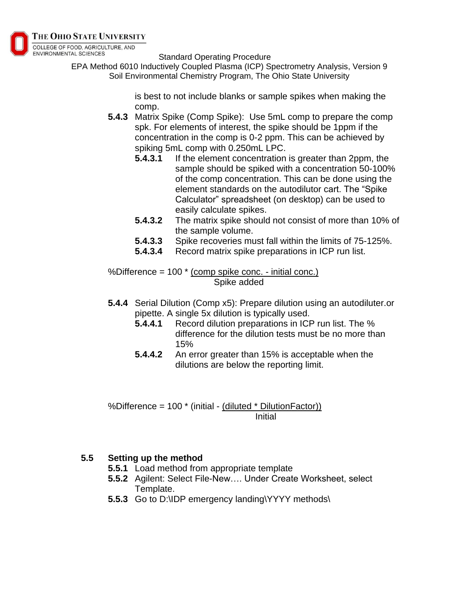

EPA Method 6010 Inductively Coupled Plasma (ICP) Spectrometry Analysis, Version 9 Soil Environmental Chemistry Program, The Ohio State University

> is best to not include blanks or sample spikes when making the comp.

- **5.4.3** Matrix Spike (Comp Spike): Use 5mL comp to prepare the comp spk. For elements of interest, the spike should be 1ppm if the concentration in the comp is 0-2 ppm. This can be achieved by spiking 5mL comp with 0.250mL LPC.
	- **5.4.3.1** If the element concentration is greater than 2ppm, the sample should be spiked with a concentration 50-100% of the comp concentration. This can be done using the element standards on the autodilutor cart. The "Spike Calculator" spreadsheet (on desktop) can be used to easily calculate spikes.
	- **5.4.3.2** The matrix spike should not consist of more than 10% of the sample volume.
	- **5.4.3.3** Spike recoveries must fall within the limits of 75-125%.
	- **5.4.3.4** Record matrix spike preparations in ICP run list.

%Difference = 100 \* (comp spike conc. - initial conc.) Spike added

- **5.4.4** Serial Dilution (Comp x5): Prepare dilution using an autodiluter.or pipette. A single 5x dilution is typically used.
	- **5.4.4.1** Record dilution preparations in ICP run list. The % difference for the dilution tests must be no more than 15%
	- **5.4.4.2** An error greater than 15% is acceptable when the dilutions are below the reporting limit.

%Difference = 100 \* (initial - (diluted \* DilutionFactor)) Initial

## **5.5 Setting up the method**

- **5.5.1** Load method from appropriate template
- **5.5.2** Agilent: Select File-New…. Under Create Worksheet, select Template.
- **5.5.3** Go to D:\IDP emergency landing\YYYY methods\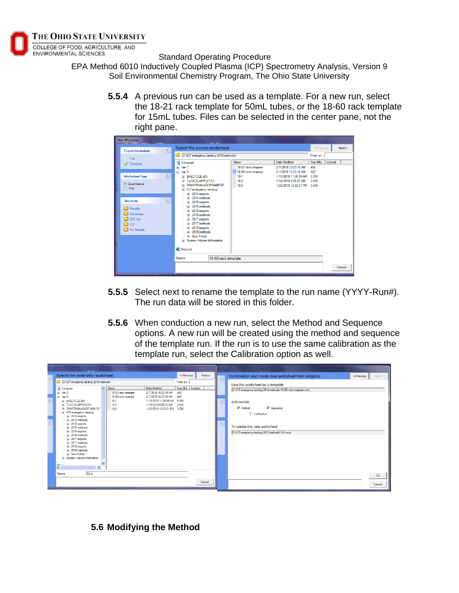

EPA Method 6010 Inductively Coupled Plasma (ICP) Spectrometry Analysis, Version 9 Soil Environmental Chemistry Program, The Ohio State University

> **5.5.4** A previous run can be used as a template. For a new run, select the 18-21 rack template for 50mL tubes, or the 18-60 rack template for 15mL tubes. Files can be selected in the center pane, not the right pane.



- **5.5.5** Select next to rename the template to the run name (YYYY-Run#). The run data will be stored in this folder.
- **5.5.6** When conduction a new run, select the Method and Sequence options. A new run will be created using the method and sequence of the template run. If the run is to use the same calibration as the template run, select the Calibration option as well.



**5.6 Modifying the Method**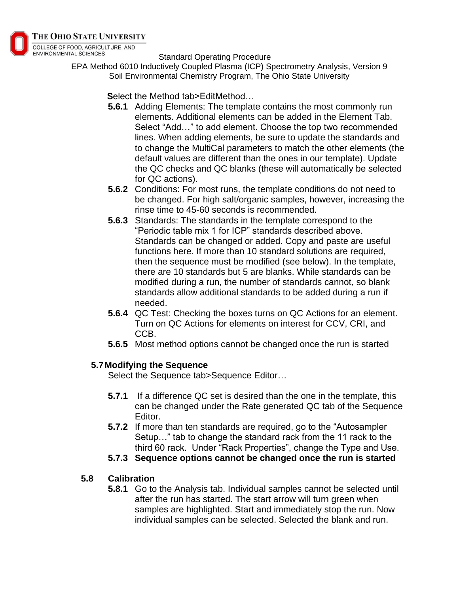

EPA Method 6010 Inductively Coupled Plasma (ICP) Spectrometry Analysis, Version 9 Soil Environmental Chemistry Program, The Ohio State University

**S**elect the Method tab>EditMethod…

- **5.6.1** Adding Elements: The template contains the most commonly run elements. Additional elements can be added in the Element Tab. Select "Add…" to add element. Choose the top two recommended lines. When adding elements, be sure to update the standards and to change the MultiCal parameters to match the other elements (the default values are different than the ones in our template). Update the QC checks and QC blanks (these will automatically be selected for QC actions).
- **5.6.2** Conditions: For most runs, the template conditions do not need to be changed. For high salt/organic samples, however, increasing the rinse time to 45-60 seconds is recommended.
- **5.6.3** Standards: The standards in the template correspond to the "Periodic table mix 1 for ICP" standards described above. Standards can be changed or added. Copy and paste are useful functions here. If more than 10 standard solutions are required, then the sequence must be modified (see below). In the template, there are 10 standards but 5 are blanks. While standards can be modified during a run, the number of standards cannot, so blank standards allow additional standards to be added during a run if needed.
- **5.6.4** QC Test: Checking the boxes turns on QC Actions for an element. Turn on QC Actions for elements on interest for CCV, CRI, and CCB.
- **5.6.5** Most method options cannot be changed once the run is started

## **5.7Modifying the Sequence**

Select the Sequence tab>Sequence Editor…

- **5.7.1** If a difference QC set is desired than the one in the template, this can be changed under the Rate generated QC tab of the Sequence Editor.
- **5.7.2** If more than ten standards are required, go to the "Autosampler Setup…" tab to change the standard rack from the 11 rack to the third 60 rack. Under "Rack Properties", change the Type and Use.
- **5.7.3 Sequence options cannot be changed once the run is started**

## **5.8 Calibration**

**5.8.1** Go to the Analysis tab. Individual samples cannot be selected until after the run has started. The start arrow will turn green when samples are highlighted. Start and immediately stop the run. Now individual samples can be selected. Selected the blank and run.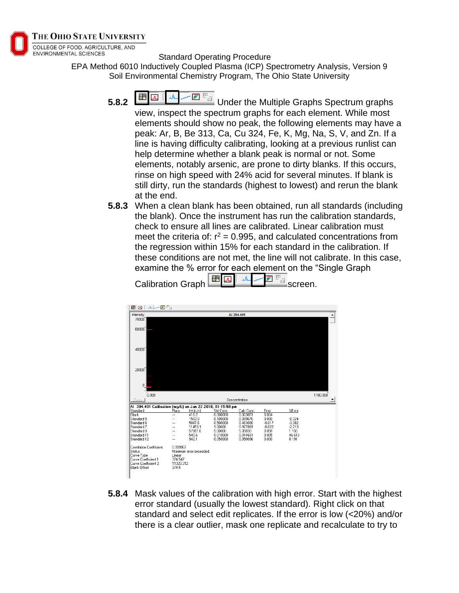

EPA Method 6010 Inductively Coupled Plasma (ICP) Spectrometry Analysis, Version 9 Soil Environmental Chemistry Program, The Ohio State University

- **5.8.2** BL I A FE **BL** Under the Multiple Graphs Spectrum graphs view, inspect the spectrum graphs for each element. While most elements should show no peak, the following elements may have a peak: Ar, B, Be 313, Ca, Cu 324, Fe, K, Mg, Na, S, V, and Zn. If a line is having difficulty calibrating, looking at a previous runlist can help determine whether a blank peak is normal or not. Some elements, notably arsenic, are prone to dirty blanks. If this occurs, rinse on high speed with 24% acid for several minutes. If blank is still dirty, run the standards (highest to lowest) and rerun the blank at the end.
- **5.8.3** When a clean blank has been obtained, run all standards (including the blank). Once the instrument has run the calibration standards, check to ensure all lines are calibrated. Linear calibration must meet the criteria of:  $r^2 = 0.995$ , and calculated concentrations from the regression within 15% for each standard in the calibration. If these conditions are not met, the line will not calibrate. In this case, examine the % error for each element on the "Single Graph



Calibration Graph **EQ M**  $\sim$  **P**<sub>a</sub> screen.

**5.8.4** Mask values of the calibration with high error. Start with the highest error standard (usually the lowest standard). Right click on that standard and select edit replicates. If the error is low (<20%) and/or there is a clear outlier, mask one replicate and recalculate to try to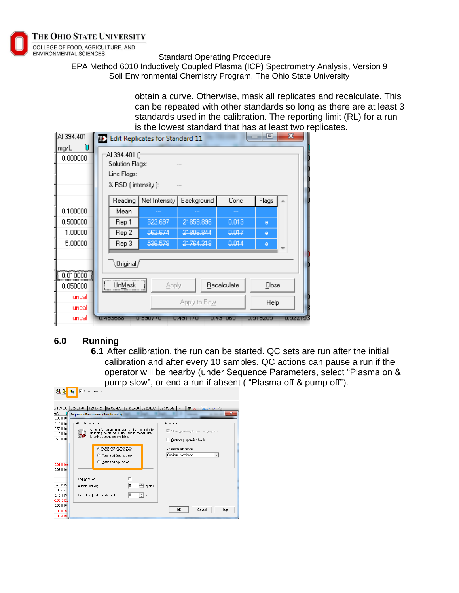

EPA Method 6010 Inductively Coupled Plasma (ICP) Spectrometry Analysis, Version 9 Soil Environmental Chemistry Program, The Ohio State University

> obtain a curve. Otherwise, mask all replicates and recalculate. This can be repeated with other standards so long as there are at least 3 standards used in the calibration. The reporting limit (RL) for a run is the lowest standard that has at least two replicates.

| AI 394.401     | W.                                                                    | is the lowest standard that has at least two<br><b>Edit Replicates for Standard 11</b> |                   |             | $\qquad \qquad \blacksquare$ | x         |
|----------------|-----------------------------------------------------------------------|----------------------------------------------------------------------------------------|-------------------|-------------|------------------------------|-----------|
| п<br>mg/L      |                                                                       |                                                                                        |                   |             |                              |           |
| 0.000000       | AI 394.401 ()<br>Solution Flags:<br>Line Flags:<br>% RSD (intensity): |                                                                                        |                   |             |                              |           |
|                | Reading                                                               | Net Intensity                                                                          | Background        | Conc        | Flags                        | ∸         |
| 0.100000       | Mean                                                                  |                                                                                        |                   |             |                              |           |
| 0.500000       | Rep 1                                                                 | 522.697                                                                                | 21859.896         | 0.013       | ٠                            |           |
| 1.00000        | Rep 2                                                                 | 562.674                                                                                | 21806.844         | 0.017       | ٠                            |           |
| 5.00000        | Rep 3                                                                 | 536,578                                                                                | 21764.318         | 0.014       | ٠                            |           |
| 0.010000       | Original,                                                             |                                                                                        |                   |             |                              |           |
| 0.050000       | UnMask                                                                | Apply                                                                                  |                   | Recalculate | Close                        |           |
| uncal<br>uncal |                                                                       |                                                                                        | Apply to Row      |             | Help                         |           |
| uncal          | <u>U,433688</u>                                                       | U.SSU770                                                                               | <u> 6.431 170</u> | UZSIUDA     | UKI BAUK                     | U.3ZZ 13. |

## **6.0 Running**

**6.1** After calibration, the run can be started. QC sets are run after the initial calibration and after every 10 samples. QC actions can pause a run if the operator will be nearby (under Sequence Parameters, select "Plasma on & pump slow", or end a run if absent ( "Plasma off & pump off").

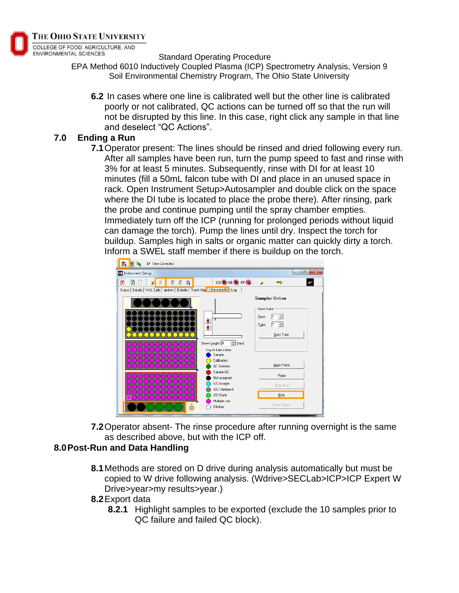

EPA Method 6010 Inductively Coupled Plasma (ICP) Spectrometry Analysis, Version 9 Soil Environmental Chemistry Program, The Ohio State University

**6.2** In cases where one line is calibrated well but the other line is calibrated poorly or not calibrated, QC actions can be turned off so that the run will not be disrupted by this line. In this case, right click any sample in that line and deselect "QC Actions".

#### **7.0 Ending a Run**

**7.1**Operator present: The lines should be rinsed and dried following every run. After all samples have been run, turn the pump speed to fast and rinse with 3% for at least 5 minutes. Subsequently, rinse with DI for at least 10 minutes (fill a 50mL falcon tube with DI and place in an unused space in rack. Open Instrument Setup>Autosampler and double click on the space where the DI tube is located to place the probe there). After rinsing, park the probe and continue pumping until the spray chamber empties. Immediately turn off the ICP (running for prolonged periods without liquid can damage the torch). Pump the lines until dry. Inspect the torch for buildup. Samples high in salts or organic matter can quickly dirty a torch. Inform a SWEL staff member if there is buildup on the torch.



**7.2**Operator absent- The rinse procedure after running overnight is the same as described above, but with the ICP off.

## **8.0Post-Run and Data Handling**

**8.1**Methods are stored on D drive during analysis automatically but must be copied to W drive following analysis. (Wdrive>SECLab>ICP>ICP Expert W Drive>year>my results>year.)

#### **8.2**Export data

**8.2.1** Highlight samples to be exported (exclude the 10 samples prior to QC failure and failed QC block).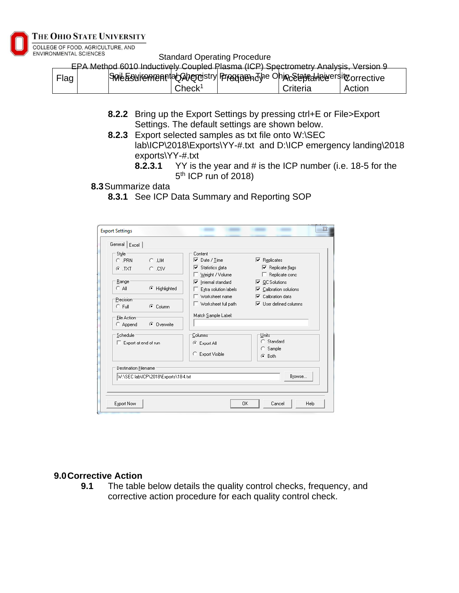

COLLEGE OF FOOD, AGRICULTURE, AND ENVIRONMENTAL SCIENCES

Standard Operating Procedure

EPA Method 6010 Inductively Coupled Plasma (ICP) Spectrometry Analysis, Version 9

| Flag | Some Estimate production of the chip Electropherment or rective |                    |          |          |
|------|-----------------------------------------------------------------|--------------------|----------|----------|
|      |                                                                 | Check <sup>1</sup> | Criteria | l Action |

- **8.2.2** Bring up the Export Settings by pressing ctrl+E or File>Export Settings. The default settings are shown below.
- **8.2.3** Export selected samples as txt file onto W:\SEC lab\ICP\2018\Exports\YY-#.txt and D:\ICP emergency landing\2018 exports\YY-#.txt
	- **8.2.3.1** YY is the year and # is the ICP number (i.e. 18-5 for the 5<sup>th</sup> ICP run of 2018)

#### **8.3**Summarize data

**8.3.1** See ICP Data Summary and Reporting SOP

| Style:<br>$C$ .LIM<br>$C$ PRN        | Content<br>⊽.<br>Date / Time              | $\nabla$ Replicates            |
|--------------------------------------|-------------------------------------------|--------------------------------|
| $G$ TXT<br>$C$ . CSV                 | Statistics data<br>⊽                      | <b>▽</b> Replicate flags       |
|                                      | Weight / Volume                           | □ Replicate conc               |
| Range                                | $\overline{\mathbf{v}}$ Internal standard | $\nabla$ QC Solutions          |
| $C$ All<br>C Highlighted             | Extra solution labels                     | <b>▽</b> Calibration solutions |
| Precision                            | □ Worksheet name                          | $\nabla$ Calibration data      |
| $C$ Full<br>$C$ Column               | $\Box$ Worksheet full path                | $\nabla$ User defined columns  |
| File Action                          | Match Sample Label:                       |                                |
| C Overwrite<br>C Append              |                                           |                                |
| Schedule                             | Columns <sup>-</sup>                      | <b>Units</b>                   |
| $\Box$ Export at end of run          | <b>Export All</b>                         | C Standard                     |
|                                      | с.                                        | C Sample                       |
|                                      | Export Visible                            | G Both                         |
| Destination Filename                 |                                           |                                |
| W:\SEC lab\ICP\2018\Exports\18-4.txt |                                           | Browse                         |
|                                      |                                           |                                |

## **9.0Corrective Action**

**9.1** The table below details the quality control checks, frequency, and corrective action procedure for each quality control check.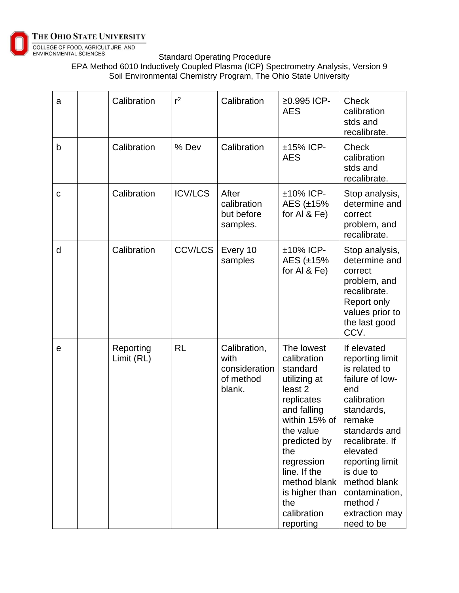

COLLEGE OF FOOD, AGRICULTURE, AND<br>ENVIRONMENTAL SCIENCES Standard Operating Procedure EPA Method 6010 Inductively Coupled Plasma (ICP) Spectrometry Analysis, Version 9 Soil Environmental Chemistry Program, The Ohio State University

| a | Calibration             | $r^2$          | Calibration                                                  | ≥0.995 ICP-<br><b>AES</b>                                                                                                                                                                                                                                        | <b>Check</b><br>calibration<br>stds and<br>recalibrate.                                                                                                                                                                                                                        |
|---|-------------------------|----------------|--------------------------------------------------------------|------------------------------------------------------------------------------------------------------------------------------------------------------------------------------------------------------------------------------------------------------------------|--------------------------------------------------------------------------------------------------------------------------------------------------------------------------------------------------------------------------------------------------------------------------------|
| b | Calibration             | % Dev          | Calibration                                                  | ±15% ICP-<br><b>AES</b>                                                                                                                                                                                                                                          | <b>Check</b><br>calibration<br>stds and<br>recalibrate.                                                                                                                                                                                                                        |
| C | Calibration             | <b>ICV/LCS</b> | After<br>calibration<br>but before<br>samples.               | ±10% ICP-<br>AES (±15%<br>for AI & Fe)                                                                                                                                                                                                                           | Stop analysis,<br>determine and<br>correct<br>problem, and<br>recalibrate.                                                                                                                                                                                                     |
| d | Calibration             | <b>CCV/LCS</b> | Every 10<br>samples                                          | ±10% ICP-<br>AES (±15%<br>for AI & Fe)                                                                                                                                                                                                                           | Stop analysis,<br>determine and<br>correct<br>problem, and<br>recalibrate.<br>Report only<br>values prior to<br>the last good<br>CCV.                                                                                                                                          |
| е | Reporting<br>Limit (RL) | <b>RL</b>      | Calibration,<br>with<br>consideration<br>of method<br>blank. | The lowest<br>calibration<br>standard<br>utilizing at<br>least <sub>2</sub><br>replicates<br>and falling<br>within 15% of<br>the value<br>predicted by<br>the<br>regression<br>line. If the<br>method blank<br>is higher than<br>the<br>calibration<br>reporting | If elevated<br>reporting limit<br>is related to<br>failure of low-<br>end<br>calibration<br>standards,<br>remake<br>standards and<br>recalibrate. If<br>elevated<br>reporting limit<br>is due to<br>method blank<br>contamination,<br>method /<br>extraction may<br>need to be |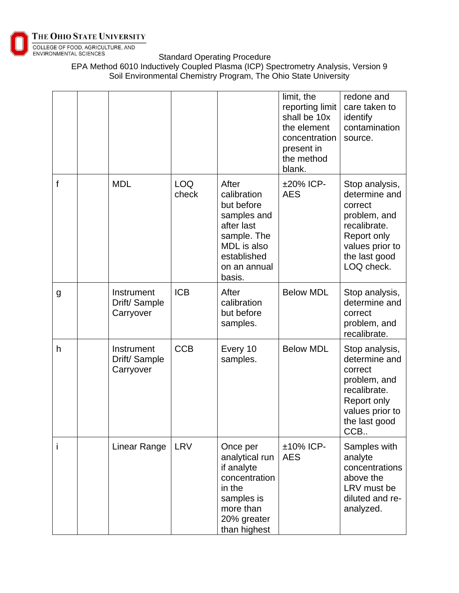

COLLEGE OF FOOD, AGRICULTURE, AND<br>ENVIRONMENTAL SCIENCES

Standard Operating Procedure

EPA Method 6010 Inductively Coupled Plasma (ICP) Spectrometry Analysis, Version 9 Soil Environmental Chemistry Program, The Ohio State University

|   |                                         |                     |                                                                                                                                        | limit, the<br>reporting limit<br>shall be 10x<br>the element<br>concentration<br>present in<br>the method<br>blank. | redone and<br>care taken to<br>identify<br>contamination<br>source.                                                                         |
|---|-----------------------------------------|---------------------|----------------------------------------------------------------------------------------------------------------------------------------|---------------------------------------------------------------------------------------------------------------------|---------------------------------------------------------------------------------------------------------------------------------------------|
| f | <b>MDL</b>                              | <b>LOQ</b><br>check | After<br>calibration<br>but before<br>samples and<br>after last<br>sample. The<br>MDL is also<br>established<br>on an annual<br>basis. | ±20% ICP-<br><b>AES</b>                                                                                             | Stop analysis,<br>determine and<br>correct<br>problem, and<br>recalibrate.<br>Report only<br>values prior to<br>the last good<br>LOQ check. |
| g | Instrument<br>Drift/Sample<br>Carryover | <b>ICB</b>          | After<br>calibration<br>but before<br>samples.                                                                                         | <b>Below MDL</b>                                                                                                    | Stop analysis,<br>determine and<br>correct<br>problem, and<br>recalibrate.                                                                  |
| h | Instrument<br>Drift/Sample<br>Carryover | <b>CCB</b>          | Every 10<br>samples.                                                                                                                   | <b>Below MDL</b>                                                                                                    | Stop analysis,<br>determine and<br>correct<br>problem, and<br>recalibrate.<br>Report only<br>values prior to<br>the last good<br>CCB        |
|   | Linear Range                            | <b>LRV</b>          | Once per<br>analytical run<br>if analyte<br>concentration<br>in the<br>samples is<br>more than<br>20% greater<br>than highest          | ±10% ICP-<br><b>AES</b>                                                                                             | Samples with<br>analyte<br>concentrations<br>above the<br>LRV must be<br>diluted and re-<br>analyzed.                                       |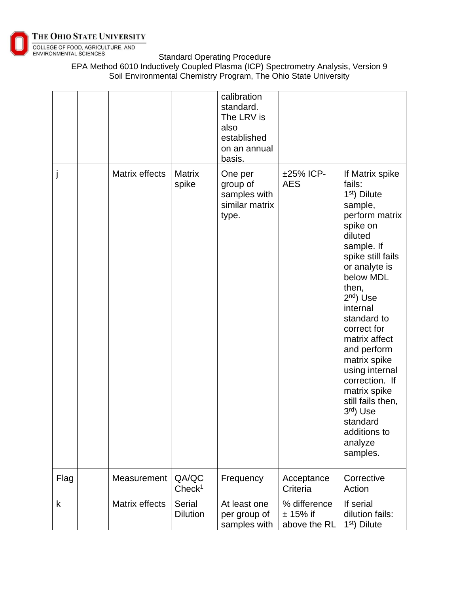

COLLEGE OF FOOD, AGRICULTURE, AND<br>ENVIRONMENTAL SCIENCES

Standard Operating Procedure EPA Method 6010 Inductively Coupled Plasma (ICP) Spectrometry Analysis, Version 9 Soil Environmental Chemistry Program, The Ohio State University

|      |                |                                  | calibration<br>standard.<br>The LRV is<br>also<br>established<br>on an annual<br>basis. |                                            |                                                                                                                                                                                                                                                                                                                                                                                                                            |
|------|----------------|----------------------------------|-----------------------------------------------------------------------------------------|--------------------------------------------|----------------------------------------------------------------------------------------------------------------------------------------------------------------------------------------------------------------------------------------------------------------------------------------------------------------------------------------------------------------------------------------------------------------------------|
| j    | Matrix effects | <b>Matrix</b><br>spike           | One per<br>group of<br>samples with<br>similar matrix<br>type.                          | ±25% ICP-<br><b>AES</b>                    | If Matrix spike<br>fails:<br>$1st$ ) Dilute<br>sample,<br>perform matrix<br>spike on<br>diluted<br>sample. If<br>spike still fails<br>or analyte is<br>below MDL<br>then,<br>$2nd$ ) Use<br>internal<br>standard to<br>correct for<br>matrix affect<br>and perform<br>matrix spike<br>using internal<br>correction. If<br>matrix spike<br>still fails then,<br>3rd) Use<br>standard<br>additions to<br>analyze<br>samples. |
| Flag | Measurement    | QA/QC<br>Check <sup>1</sup>      | Frequency                                                                               | Acceptance<br>Criteria                     | Corrective<br>Action                                                                                                                                                                                                                                                                                                                                                                                                       |
| k    | Matrix effects | <b>Serial</b><br><b>Dilution</b> | At least one<br>per group of<br>samples with                                            | % difference<br>$± 15%$ if<br>above the RL | If serial<br>dilution fails:<br>1 <sup>st</sup> ) Dilute                                                                                                                                                                                                                                                                                                                                                                   |